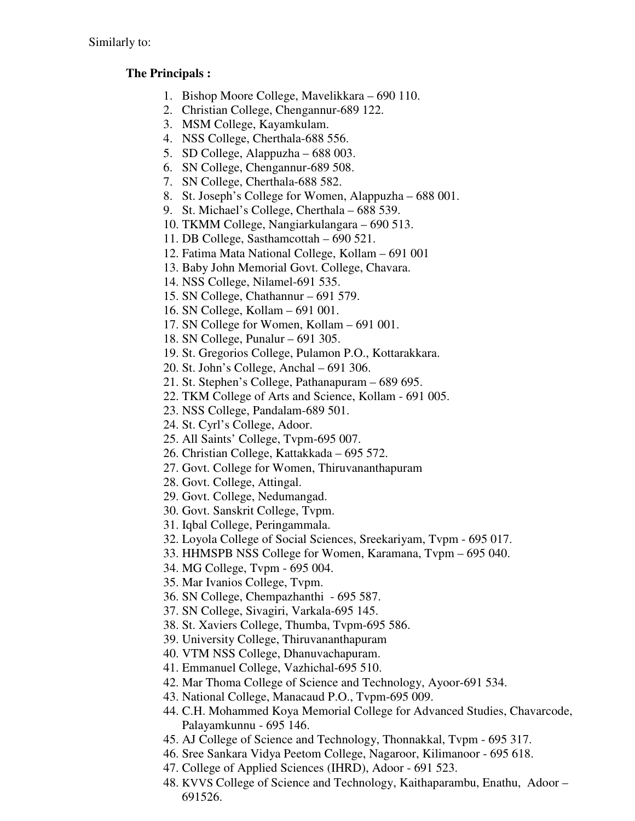## **The Principals :**

- 1. Bishop Moore College, Mavelikkara 690 110.
- 2. Christian College, Chengannur-689 122.
- 3. MSM College, Kayamkulam.
- 4. NSS College, Cherthala-688 556.
- 5. SD College, Alappuzha 688 003.
- 6. SN College, Chengannur-689 508.
- 7. SN College, Cherthala-688 582.
- 8. St. Joseph's College for Women, Alappuzha 688 001.
- 9. St. Michael's College, Cherthala 688 539.
- 10. TKMM College, Nangiarkulangara 690 513.
- 11. DB College, Sasthamcottah 690 521.
- 12. Fatima Mata National College, Kollam 691 001
- 13. Baby John Memorial Govt. College, Chavara.
- 14. NSS College, Nilamel-691 535.
- 15. SN College, Chathannur 691 579.
- 16. SN College, Kollam 691 001.
- 17. SN College for Women, Kollam 691 001.
- 18. SN College, Punalur 691 305.
- 19. St. Gregorios College, Pulamon P.O., Kottarakkara.
- 20. St. John's College, Anchal 691 306.
- 21. St. Stephen's College, Pathanapuram 689 695.
- 22. TKM College of Arts and Science, Kollam 691 005.
- 23. NSS College, Pandalam-689 501.
- 24. St. Cyrl's College, Adoor.
- 25. All Saints' College, Tvpm-695 007.
- 26. Christian College, Kattakkada 695 572.
- 27. Govt. College for Women, Thiruvananthapuram
- 28. Govt. College, Attingal.
- 29. Govt. College, Nedumangad.
- 30. Govt. Sanskrit College, Tvpm.
- 31. Iqbal College, Peringammala.
- 32. Loyola College of Social Sciences, Sreekariyam, Tvpm 695 017.
- 33. HHMSPB NSS College for Women, Karamana, Tvpm 695 040.
- 34. MG College, Tvpm 695 004.
- 35. Mar Ivanios College, Tvpm.
- 36. SN College, Chempazhanthi 695 587.
- 37. SN College, Sivagiri, Varkala-695 145.
- 38. St. Xaviers College, Thumba, Tvpm-695 586.
- 39. University College, Thiruvananthapuram
- 40. VTM NSS College, Dhanuvachapuram.
- 41. Emmanuel College, Vazhichal-695 510.
- 42. Mar Thoma College of Science and Technology, Ayoor-691 534.
- 43. National College, Manacaud P.O., Tvpm-695 009.
- 44. C.H. Mohammed Koya Memorial College for Advanced Studies, Chavarcode, Palayamkunnu - 695 146.
- 45. AJ College of Science and Technology, Thonnakkal, Tvpm 695 317.
- 46. Sree Sankara Vidya Peetom College, Nagaroor, Kilimanoor 695 618.
- 47. College of Applied Sciences (IHRD), Adoor 691 523.
- 48. KVVS College of Science and Technology, Kaithaparambu, Enathu, Adoor 691526.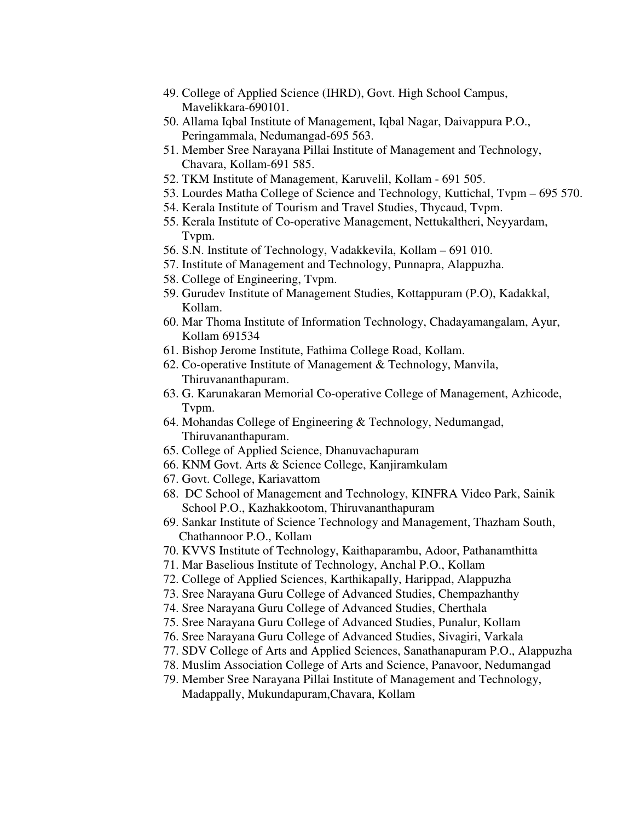- 49. College of Applied Science (IHRD), Govt. High School Campus, Mavelikkara-690101.
- 50. Allama Iqbal Institute of Management, Iqbal Nagar, Daivappura P.O., Peringammala, Nedumangad-695 563.
- 51. Member Sree Narayana Pillai Institute of Management and Technology, Chavara, Kollam-691 585.
- 52. TKM Institute of Management, Karuvelil, Kollam 691 505.
- 53. Lourdes Matha College of Science and Technology, Kuttichal, Tvpm 695 570.
- 54. Kerala Institute of Tourism and Travel Studies, Thycaud, Tvpm.
- 55. Kerala Institute of Co-operative Management, Nettukaltheri, Neyyardam, Tvpm.
- 56. S.N. Institute of Technology, Vadakkevila, Kollam 691 010.
- 57. Institute of Management and Technology, Punnapra, Alappuzha.
- 58. College of Engineering, Tvpm.
- 59. Gurudev Institute of Management Studies, Kottappuram (P.O), Kadakkal, Kollam.
- 60. Mar Thoma Institute of Information Technology, Chadayamangalam, Ayur, Kollam 691534
- 61. Bishop Jerome Institute, Fathima College Road, Kollam.
- 62. Co-operative Institute of Management & Technology, Manvila, Thiruvananthapuram.
- 63. G. Karunakaran Memorial Co-operative College of Management, Azhicode, Tvpm.
- 64. Mohandas College of Engineering & Technology, Nedumangad, Thiruvananthapuram.
- 65. College of Applied Science, Dhanuvachapuram
- 66. KNM Govt. Arts & Science College, Kanjiramkulam
- 67. Govt. College, Kariavattom
- 68. DC School of Management and Technology, KINFRA Video Park, Sainik School P.O., Kazhakkootom, Thiruvananthapuram
- 69. Sankar Institute of Science Technology and Management, Thazham South, Chathannoor P.O., Kollam
- 70. KVVS Institute of Technology, Kaithaparambu, Adoor, Pathanamthitta
- 71. Mar Baselious Institute of Technology, Anchal P.O., Kollam
- 72. College of Applied Sciences, Karthikapally, Harippad, Alappuzha
- 73. Sree Narayana Guru College of Advanced Studies, Chempazhanthy
- 74. Sree Narayana Guru College of Advanced Studies, Cherthala
- 75. Sree Narayana Guru College of Advanced Studies, Punalur, Kollam
- 76. Sree Narayana Guru College of Advanced Studies, Sivagiri, Varkala
- 77. SDV College of Arts and Applied Sciences, Sanathanapuram P.O., Alappuzha
- 78. Muslim Association College of Arts and Science, Panavoor, Nedumangad
- 79. Member Sree Narayana Pillai Institute of Management and Technology,

Madappally, Mukundapuram,Chavara, Kollam